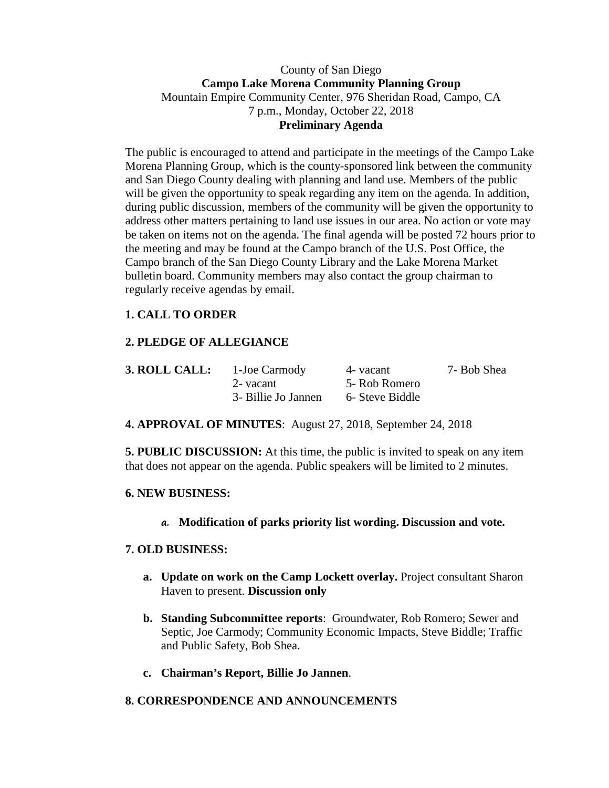### County of San Diego **Campo Lake Morena Community Planning Group** Mountain Empire Community Center, 976 Sheridan Road, Campo, CA 7 p.m., Monday, October 22, 2018 **Preliminary Agenda**

The public is encouraged to attend and participate in the meetings of the Campo Lake Morena Planning Group, which is the county-sponsored link between the community and San Diego County dealing with planning and land use. Members of the public will be given the opportunity to speak regarding any item on the agenda. In addition, during public discussion, members of the community will be given the opportunity to address other matters pertaining to land use issues in our area. No action or vote may be taken on items not on the agenda. The final agenda will be posted 72 hours prior to the meeting and may be found at the Campo branch of the U.S. Post Office, the Campo branch of the San Diego County Library and the Lake Morena Market bulletin board. Community members may also contact the group chairman to regularly receive agendas by email.

# **1. CALL TO ORDER**

## **2. PLEDGE OF ALLEGIANCE**

| 3. ROLL CALL: | 1-Joe Carmody       | 4- vacant       | 7- Bob Shea |
|---------------|---------------------|-----------------|-------------|
|               | 2- vacant           | 5- Rob Romero   |             |
|               | 3- Billie Jo Jannen | 6- Steve Biddle |             |

**4. APPROVAL OF MINUTES**: August 27, 2018, September 24, 2018

**5. PUBLIC DISCUSSION:** At this time, the public is invited to speak on any item that does not appear on the agenda. Public speakers will be limited to 2 minutes.

#### **6. NEW BUSINESS:**

**a. Modification of parks priority list wording. Discussion and vote.**

## **7. OLD BUSINESS:**

- **a. Update on work on the Camp Lockett overlay.** Project consultant Sharon Haven to present. **Discussion only**
- **b. Standing Subcommittee reports**: Groundwater, Rob Romero; Sewer and Septic, Joe Carmody; Community Economic Impacts, Steve Biddle; Traffic and Public Safety, Bob Shea.
- **c. Chairman's Report, Billie Jo Jannen**.

## **8. CORRESPONDENCE AND ANNOUNCEMENTS**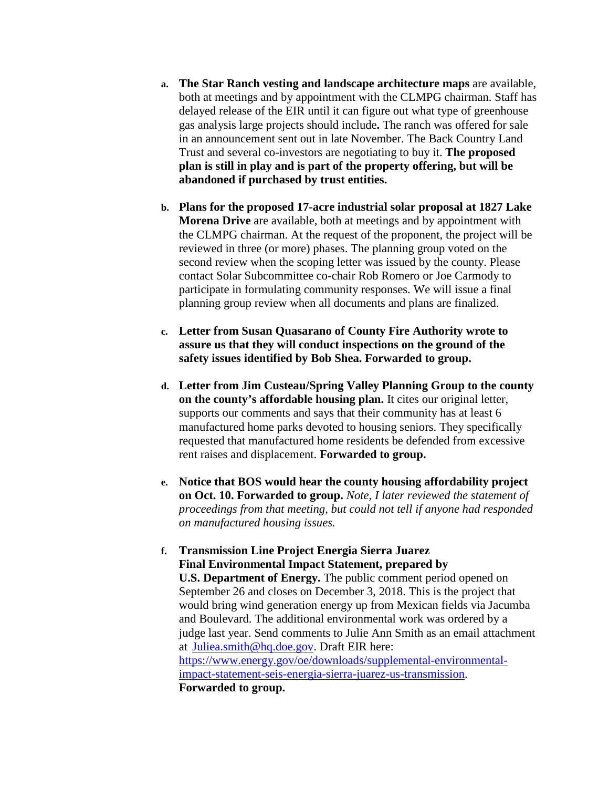- **a. The Star Ranch vesting and landscape architecture maps** are available, both at meetings and by appointment with the CLMPG chairman. Staff has delayed release of the EIR until it can figure out what type of greenhouse gas analysis large projects should include**.** The ranch was offered for sale in an announcement sent out in late November. The Back Country Land Trust and several co-investors are negotiating to buy it. **The proposed plan is still in play and is part of the property offering, but will be abandoned if purchased by trust entities.**
- **b. Plans for the proposed 17-acre industrial solar proposal at 1827 Lake Morena Drive** are available, both at meetings and by appointment with the CLMPG chairman. At the request of the proponent, the project will be reviewed in three (or more) phases. The planning group voted on the second review when the scoping letter was issued by the county. Please contact Solar Subcommittee co-chair Rob Romero or Joe Carmody to participate in formulating community responses. We will issue a final planning group review when all documents and plans are finalized.
- **c. Letter from Susan Quasarano of County Fire Authority wrote to assure us that they will conduct inspections on the ground of the safety issues identified by Bob Shea. Forwarded to group.**
- **d. Letter from Jim Custeau/Spring Valley Planning Group to the county on the county's affordable housing plan.** It cites our original letter, supports our comments and says that their community has at least 6 manufactured home parks devoted to housing seniors. They specifically requested that manufactured home residents be defended from excessive rent raises and displacement. **Forwarded to group.**
- **e. Notice that BOS would hear the county housing affordability project on Oct. 10. Forwarded to group.** *Note, I later reviewed the statement of proceedings from that meeting, but could not tell if anyone had responded on manufactured housing issues.*

# **f. Transmission Line Project Energia Sierra Juarez Final Environmental Impact Statement, prepared by**

**U.S. Department of Energy.** The public comment period opened on September 26 and closes on December 3, 2018. This is the project that would bring wind generation energy up from Mexican fields via Jacumba and Boulevard. The additional environmental work was ordered by a judge last year. Send comments to Julie Ann Smith as an email attachment at [Juliea.smith@hq.doe.gov.](mailto:Juliea.smith@hq.doe.gov) Draft EIR here: [https://www.energy.gov/oe/downloads/supplemental-environmental](https://www.energy.gov/oe/downloads/supplemental-environmental-impact-statement-seis-energia-sierra-juarez-us-transmission)[impact-statement-seis-energia-sierra-juarez-us-transmission.](https://www.energy.gov/oe/downloads/supplemental-environmental-impact-statement-seis-energia-sierra-juarez-us-transmission)

**Forwarded to group.**